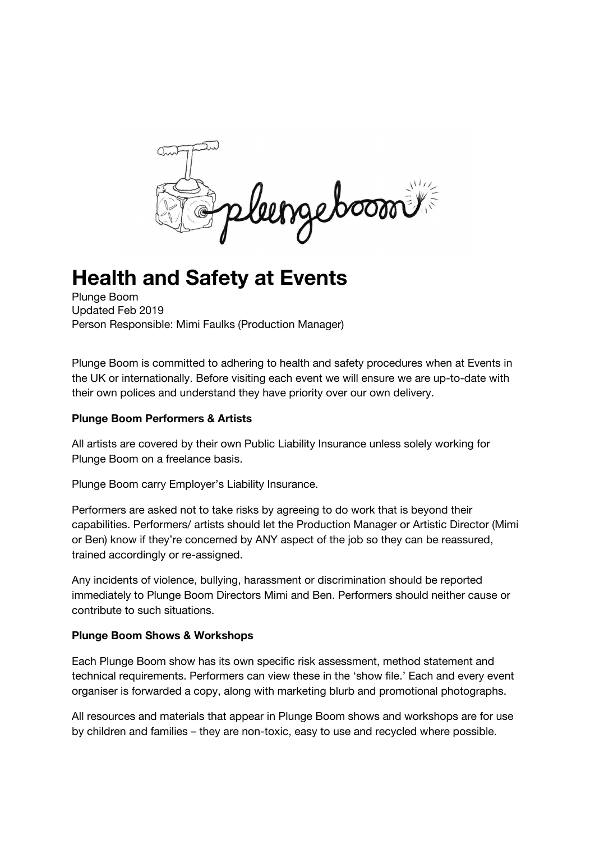leengeboom

# **Health and Safety at Events**

Plunge Boom Updated Feb 2019 Person Responsible: Mimi Faulks (Production Manager)

Plunge Boom is committed to adhering to health and safety procedures when at Events in the UK or internationally. Before visiting each event we will ensure we are up-to-date with their own polices and understand they have priority over our own delivery.

## **Plunge Boom Performers & Artists**

All artists are covered by their own Public Liability Insurance unless solely working for Plunge Boom on a freelance basis.

Plunge Boom carry Employer's Liability Insurance.

Performers are asked not to take risks by agreeing to do work that is beyond their capabilities. Performers/ artists should let the Production Manager or Artistic Director (Mimi or Ben) know if they're concerned by ANY aspect of the job so they can be reassured, trained accordingly or re-assigned.

Any incidents of violence, bullying, harassment or discrimination should be reported immediately to Plunge Boom Directors Mimi and Ben. Performers should neither cause or contribute to such situations.

## **Plunge Boom Shows & Workshops**

Each Plunge Boom show has its own specific risk assessment, method statement and technical requirements. Performers can view these in the 'show file.' Each and every event organiser is forwarded a copy, along with marketing blurb and promotional photographs.

All resources and materials that appear in Plunge Boom shows and workshops are for use by children and families – they are non-toxic, easy to use and recycled where possible.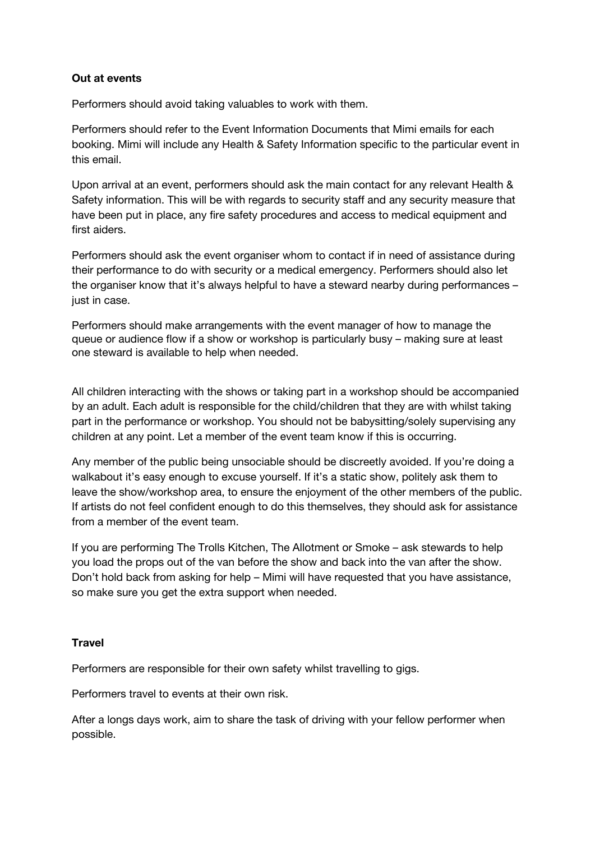### **Out at events**

Performers should avoid taking valuables to work with them.

Performers should refer to the Event Information Documents that Mimi emails for each booking. Mimi will include any Health & Safety Information specific to the particular event in this email.

Upon arrival at an event, performers should ask the main contact for any relevant Health & Safety information. This will be with regards to security staff and any security measure that have been put in place, any fire safety procedures and access to medical equipment and first aiders.

Performers should ask the event organiser whom to contact if in need of assistance during their performance to do with security or a medical emergency. Performers should also let the organiser know that it's always helpful to have a steward nearby during performances – just in case.

Performers should make arrangements with the event manager of how to manage the queue or audience flow if a show or workshop is particularly busy – making sure at least one steward is available to help when needed.

All children interacting with the shows or taking part in a workshop should be accompanied by an adult. Each adult is responsible for the child/children that they are with whilst taking part in the performance or workshop. You should not be babysitting/solely supervising any children at any point. Let a member of the event team know if this is occurring.

Any member of the public being unsociable should be discreetly avoided. If you're doing a walkabout it's easy enough to excuse yourself. If it's a static show, politely ask them to leave the show/workshop area, to ensure the enjoyment of the other members of the public. If artists do not feel confident enough to do this themselves, they should ask for assistance from a member of the event team.

If you are performing The Trolls Kitchen, The Allotment or Smoke – ask stewards to help you load the props out of the van before the show and back into the van after the show. Don't hold back from asking for help – Mimi will have requested that you have assistance, so make sure you get the extra support when needed.

### **Travel**

Performers are responsible for their own safety whilst travelling to gigs.

Performers travel to events at their own risk.

After a longs days work, aim to share the task of driving with your fellow performer when possible.